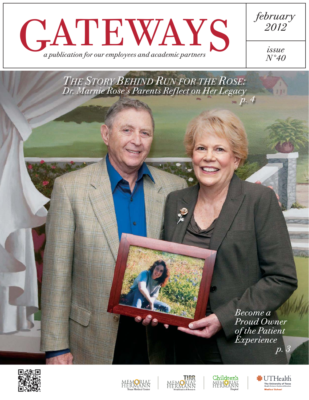

*THE STORY BEHIND RUN FOR THE ROSE: Dr. Marnie Rose's Parents Reflect on Her Legacyp. 4*

> *Become a Proud Owner of the Patient Experience p. 3*











**White Co** 

*2012*

*issue N°40*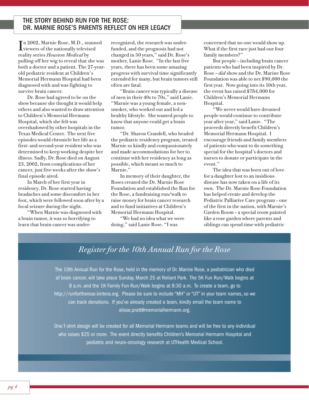## THE STORY BEHIND RUN FOR THE ROSE: DR. MARNIE ROSE'S PARENTS REFLECT ON HER LEGACY

 $\prod_{\text{viewers of the nationally televised}}$ n 2002, Marnie Rose, M.D., stunned reality series *Houston Medical* by pulling off her wig to reveal that she was both a doctor and a patient. The 27-yearold pediatric resident at Children's Memorial Hermann Hospital had been diagnosed with and was fighting to survive brain cancer.

Dr. Rose had agreed to be on the show because she thought it would help others and also wanted to draw attention to Children's Memorial Hermann Hospital, which she felt was overshadowed by other hospitals in the Texas Medical Center. The next five episodes would chronicle her life as a first- and second-year resident who was determined to keep working despite her illness. Sadly, Dr. Rose died on August 23, 2002, from complications of her cancer, just five weeks after the show's final episode aired.

In March of her first year in residency, Dr. Rose started having headaches and some discomfort in her foot, which were followed soon after by a focal seizure during the night.

"When Marnie was diagnosed with a brain tumor, it was so horrifying to learn that brain cancer was underrecognized, the research was underfunded, and the prognosis had not changed in 50 years," said Dr. Rose's mother, Lanie Rose. "In the last five years, there has been some amazing progress with survival time significantly extended for many, but brain tumors still often are fatal.

"Brain cancer was typically a disease of men in their 40s to 70s," said Lanie. "Marnie was a young female, a nonsmoker, who worked out and led a healthy lifestyle. She wanted people to know that anyone could get a brain tumor.

"Dr. Sharon Crandell, who headed the pediatric residency program, treated Marnie so kindly and compassionately and made accommodations for her to continue with her residency as long as possible, which meant so much to Marnie."

In memory of their daughter, the Roses created the Dr. Marnie Rose Foundation and established the Run for the Rose, a fundraising run/walk to raise money for brain cancer research and to fund initiatives at Children's Memorial Hermann Hospital.

"We had no idea what we were doing," said Lanie Rose. "I was

concerned that no one would show up. What if the first race just had our four family members?"

But people – including brain cancer patients who had been inspired by Dr. Rose – *did* show and the Dr. Marine Rose Foundation was able to net \$90,000 the first year. Now going into its 10th year, the event has raised \$784,000 for Children's Memorial Hermann Hospital.

"We never would have dreamed people would continue to contribute year after year," said Lanie. "The proceeds directly benefit Children's Memorial Hermann Hospital. I encourage friends and family members of patients who want to do something special for the hospital's doctors and nurses to donate or participate in the event."

The idea that was born out of love for a daughter lost to an insidious disease has now taken on a life of its own. The Dr. Marnie Rose Foundation has helped create and develop the Pediatric Palliative Care program – one of the first in the nation, with Marnie's Garden Room – a special room painted like a rose garden where parents and siblings can spend time with pediatric

## *Register for the 10th Annual Run for the Rose*

The 10th Annual Run for the Rose, held in the memory of Dr. Marnie Rose, a pediatrician who died of brain cancer, will take place Sunday, March 25 at Reliant Park. The 5K Fun Run/Walk begins at 8 a.m. and the 1K Family Fun Run/Walk begins at 8:30 a.m. To create a team, go to http://runfortherose.kintera.org. Please be sure to include "MH" or "UT" in your team names, so we can track donations. If you've already created a team, kindly email the team name to alisse.pratt@memorialhermann.org.

One T-shirt design will be created for all Memorial Hermann teams and will be free to any individual who raises \$25 or more. The event directly benefits Children's Memorial Hermann Hospital and pediatric and neuro-oncology research at UTHealth Medical School.